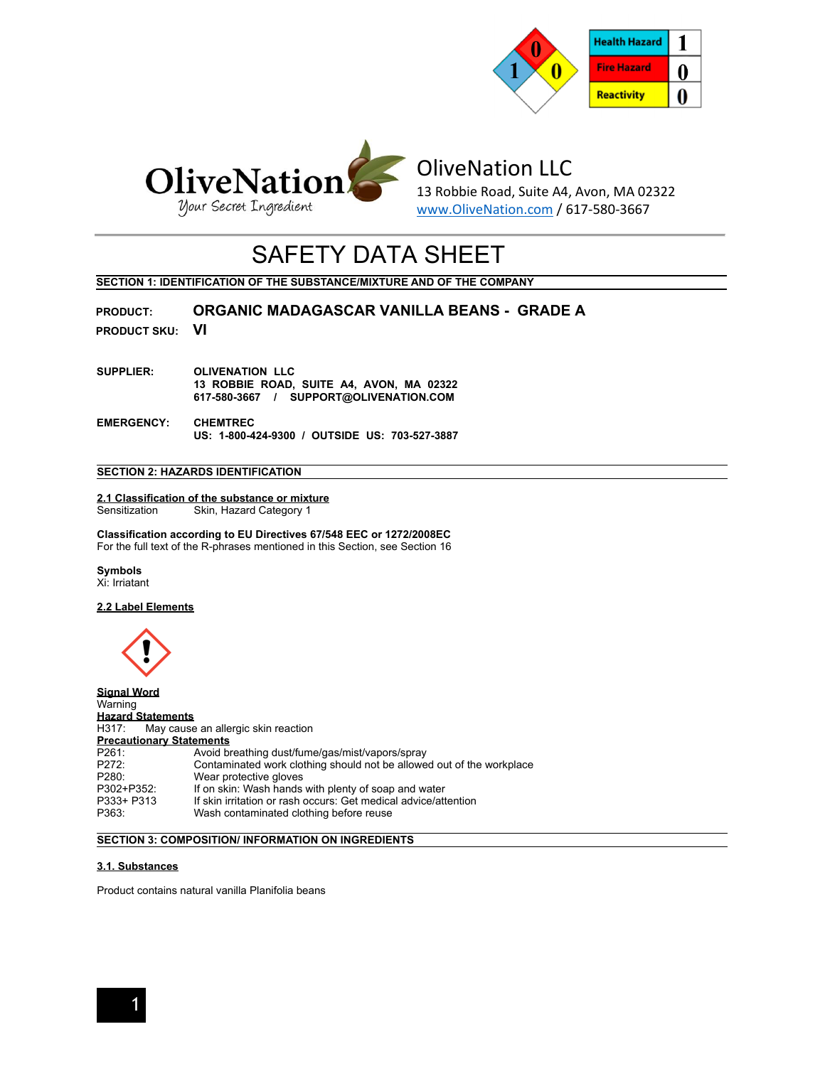



# OliveNation LLC

13 Robbie Road, Suite A4, Avon, MA 02322 www.OliveNation.com / 617-580-3667

# SAFETY DATA SHEET

**SECTION 1: IDENTIFICATION OF THE SUBSTANCE/MIXTURE AND OF THE COMPANY** 

**PRODUCT: ORGANIC MADAGASCAR VANILLA BEANS - GRADE A**

**PRODUCT SKU: VI**

- **SUPPLIER: OLIVENATION LLC 13 ROBBIE ROAD, SUITE A4, AVON, MA 02322 617-580-3667 / SUPPORT@OLIVENATION.COM**
- **EMERGENCY: CHEMTREC US: 1-800-424-9300 / OUTSIDE US: 703-527-3887**

## **SECTION 2: HAZARDS IDENTIFICATION**

## **2.1 Classification of the substance or mixture**  Sensitization Skin, Hazard Category 1

**Classification according to EU Directives 67/548 EEC or 1272/2008EC**  For the full text of the R-phrases mentioned in this Section, see Section 16

**Symbols** 

Xi: Irriatant

## **2.2 Label Elements**



**Signal Word Warning Hazard Statements**<br> **H317:** May cause May cause an allergic skin reaction **Precautionary Statements**<br>P261: Avoid br P261: Avoid breathing dust/fume/gas/mist/vapors/spray<br>P272: Contaminated work clothing should not be allowe P272: Contaminated work clothing should not be allowed out of the workplace<br>P280: Wear protective gloves P280: Wear protective gloves<br>P302+P352: If on skin: Wash hands P302+P352: If on skin: Wash hands with plenty of soap and water<br>P333+ P313 If skin irritation or rash occurs: Get medical advice/att P333+ P313 If skin irritation or rash occurs: Get medical advice/attention<br>P363: Wash contaminated clothing before reuse Wash contaminated clothing before reuse

## **SECTION 3: COMPOSITION/ INFORMATION ON INGREDIENTS**

## **3.1. Substances**

Product contains natural vanilla Planifolia beans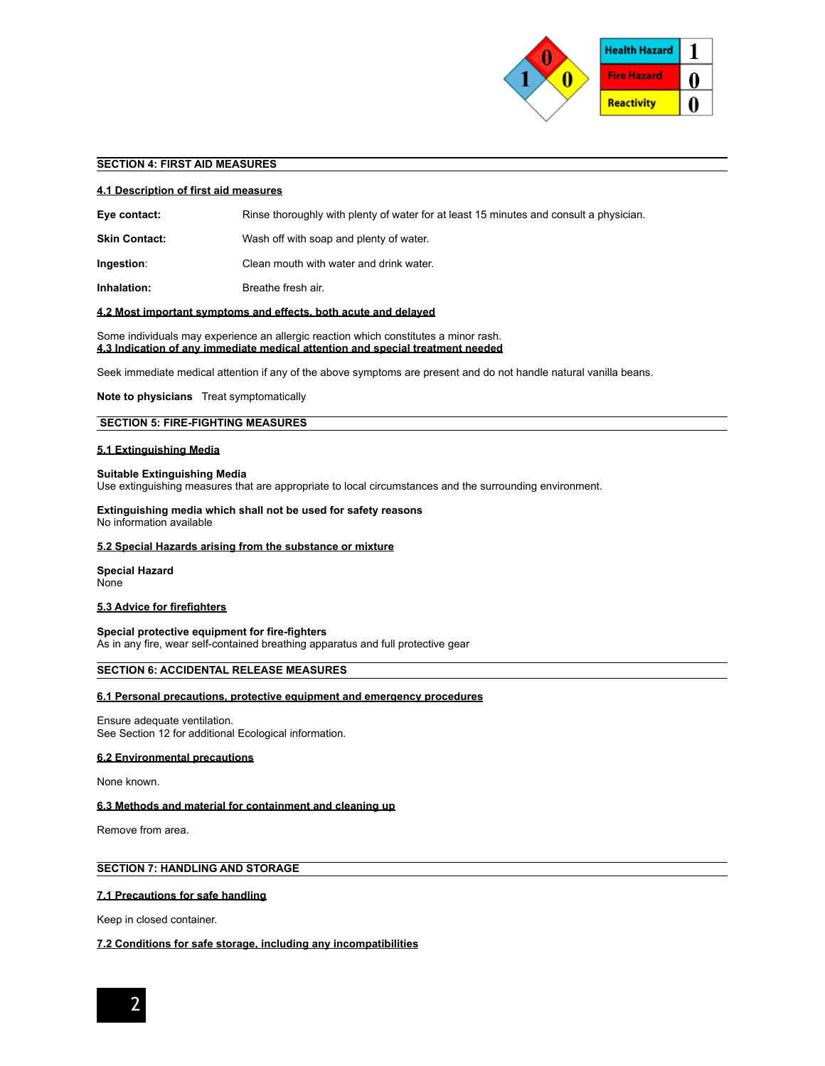

## **SECTION 4: FIRST AID MEASURES**

#### **4.1 Description of first aid measures**

| Eye contact: | Rinse thoroughly with plenty of water for at least 15 minutes and consult a physician. |
|--------------|----------------------------------------------------------------------------------------|
|              |                                                                                        |

- **Skin Contact:** Wash off with soap and plenty of water.
- **Ingestion:** Clean mouth with water and drink water.

**Inhalation: Breathe fresh air.** 

## **4.2 Most important symptoms and effects, both acute and delayed**

Some individuals may experience an allergic reaction which constitutes a minor rash. **4.3 Indication of any immediate medical attention and special treatment needed** 

Seek immediate medical attention if any of the above symptoms are present and do not handle natural vanilla beans.

## **Note to physicians** Treat symptomatically

## **SECTION 5: FIRE-FIGHTING MEASURES**

## **5.1 Extinguishing Media**

## **Suitable Extinguishing Media**

Use extinguishing measures that are appropriate to local circumstances and the surrounding environment.

## **Extinguishing media which shall not be used for safety reasons**

No information available

## **5.2 Special Hazards arising from the substance or mixture**

#### **Special Hazard**  None

## **5.3 Advice for firefighters**

**Special protective equipment for fire-fighters**  As in any fire, wear self-contained breathing apparatus and full protective gear

## **SECTION 6: ACCIDENTAL RELEASE MEASURES**

## **6.1 Personal precautions, protective equipment and emergency procedures**

Ensure adequate ventilation. See Section 12 for additional Ecological information.

## **6.2 Environmental precautions**

None known.

## **6.3 Methods and material for containment and cleaning up**

Remove from area.

## **SECTION 7: HANDLING AND STORAGE**

## **7.1 Precautions for safe handling**

Keep in closed container.

## **7.2 Conditions for safe storage, including any incompatibilities**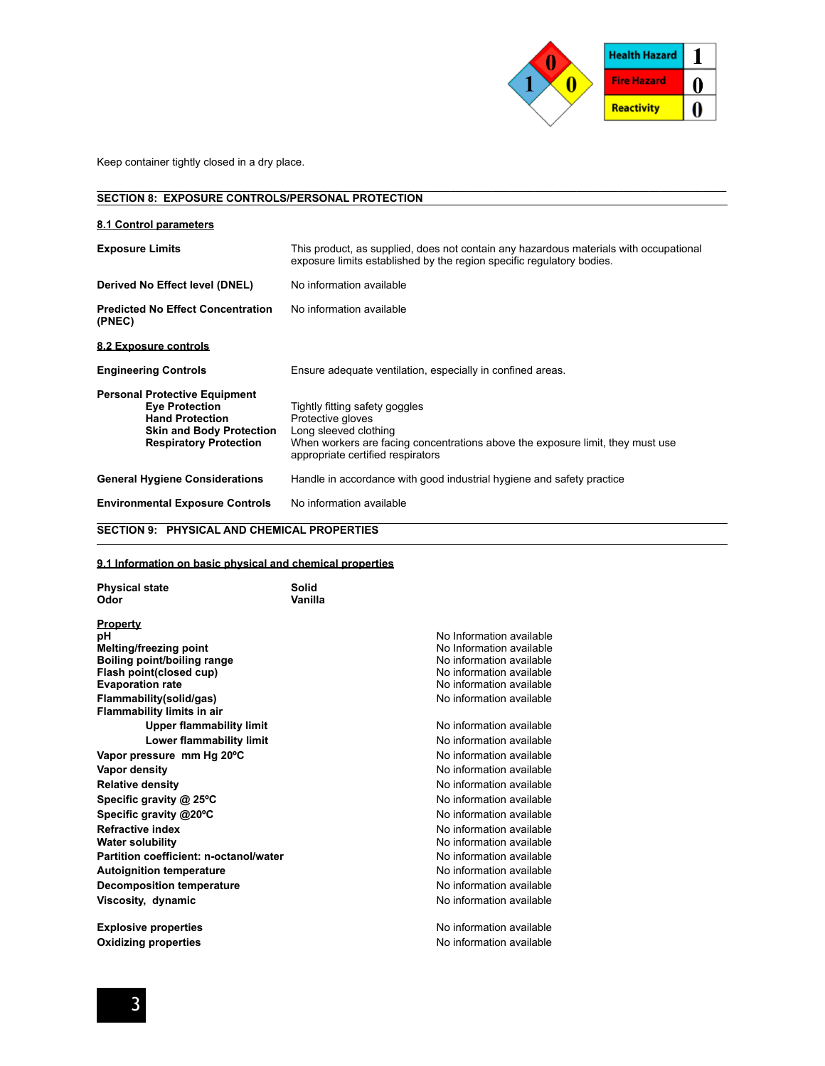

Keep container tightly closed in a dry place.

#### **SECTION 8: EXPOSURE CONTROLS/PERSONAL PROTECTION**

| 8.1 Control parameters                                                                                                                                      |                                                                                                                                                                                                     |  |  |
|-------------------------------------------------------------------------------------------------------------------------------------------------------------|-----------------------------------------------------------------------------------------------------------------------------------------------------------------------------------------------------|--|--|
| <b>Exposure Limits</b>                                                                                                                                      | This product, as supplied, does not contain any hazardous materials with occupational<br>exposure limits established by the region specific regulatory bodies.                                      |  |  |
| Derived No Effect level (DNEL)                                                                                                                              | No information available                                                                                                                                                                            |  |  |
| <b>Predicted No Effect Concentration</b><br>(PNEC)                                                                                                          | No information available                                                                                                                                                                            |  |  |
| 8.2 Exposure controls                                                                                                                                       |                                                                                                                                                                                                     |  |  |
| <b>Engineering Controls</b>                                                                                                                                 | Ensure adequate ventilation, especially in confined areas.                                                                                                                                          |  |  |
| <b>Personal Protective Equipment</b><br><b>Eve Protection</b><br><b>Hand Protection</b><br><b>Skin and Body Protection</b><br><b>Respiratory Protection</b> | Tightly fitting safety goggles<br>Protective gloves<br>Long sleeved clothing<br>When workers are facing concentrations above the exposure limit, they must use<br>appropriate certified respirators |  |  |
| <b>General Hygiene Considerations</b>                                                                                                                       | Handle in accordance with good industrial hygiene and safety practice                                                                                                                               |  |  |
| <b>Environmental Exposure Controls</b>                                                                                                                      | No information available                                                                                                                                                                            |  |  |
| <b>SECTION 9: PHYSICAL AND CHEMICAL PROPERTIES</b>                                                                                                          |                                                                                                                                                                                                     |  |  |

\_\_\_\_\_\_\_\_\_\_\_\_\_\_\_\_\_\_\_\_\_\_\_\_\_\_\_\_\_\_\_\_\_\_\_\_\_\_\_\_\_\_\_\_\_\_\_\_\_\_\_\_\_\_\_\_\_\_\_\_\_\_\_\_\_\_\_\_\_\_\_\_\_\_\_\_\_\_\_\_\_\_\_\_\_\_\_\_\_\_\_\_\_\_\_\_\_\_\_\_\_\_\_\_\_

## **9.1 Information on basic physical and chemical properties**

| <b>Physical state</b><br>Odor                         | Solid<br>Vanilla |                          |
|-------------------------------------------------------|------------------|--------------------------|
| <u>Property</u>                                       |                  |                          |
| pН                                                    |                  | No Information available |
| Melting/freezing point                                |                  | No Information available |
| Boiling point/boiling range                           |                  | No information available |
| Flash point(closed cup)                               |                  | No information available |
| <b>Evaporation rate</b>                               |                  | No information available |
| Flammability(solid/gas)<br>Flammability limits in air |                  | No information available |
| <b>Upper flammability limit</b>                       |                  | No information available |
| Lower flammability limit                              |                  | No information available |
| Vapor pressure mm Hg 20°C                             |                  | No information available |
| Vapor density                                         |                  | No information available |
| <b>Relative density</b>                               |                  | No information available |
| Specific gravity @ 25°C                               |                  | No information available |
| Specific gravity @20°C                                |                  | No information available |
| Refractive index                                      |                  | No information available |
| Water solubility                                      |                  | No information available |
| Partition coefficient: n-octanol/water                |                  | No information available |
| <b>Autoignition temperature</b>                       |                  | No information available |
| <b>Decomposition temperature</b>                      |                  | No information available |
| Viscosity, dynamic                                    |                  | No information available |
| <b>Explosive properties</b>                           |                  | No information available |
| <b>Oxidizing properties</b>                           |                  | No information available |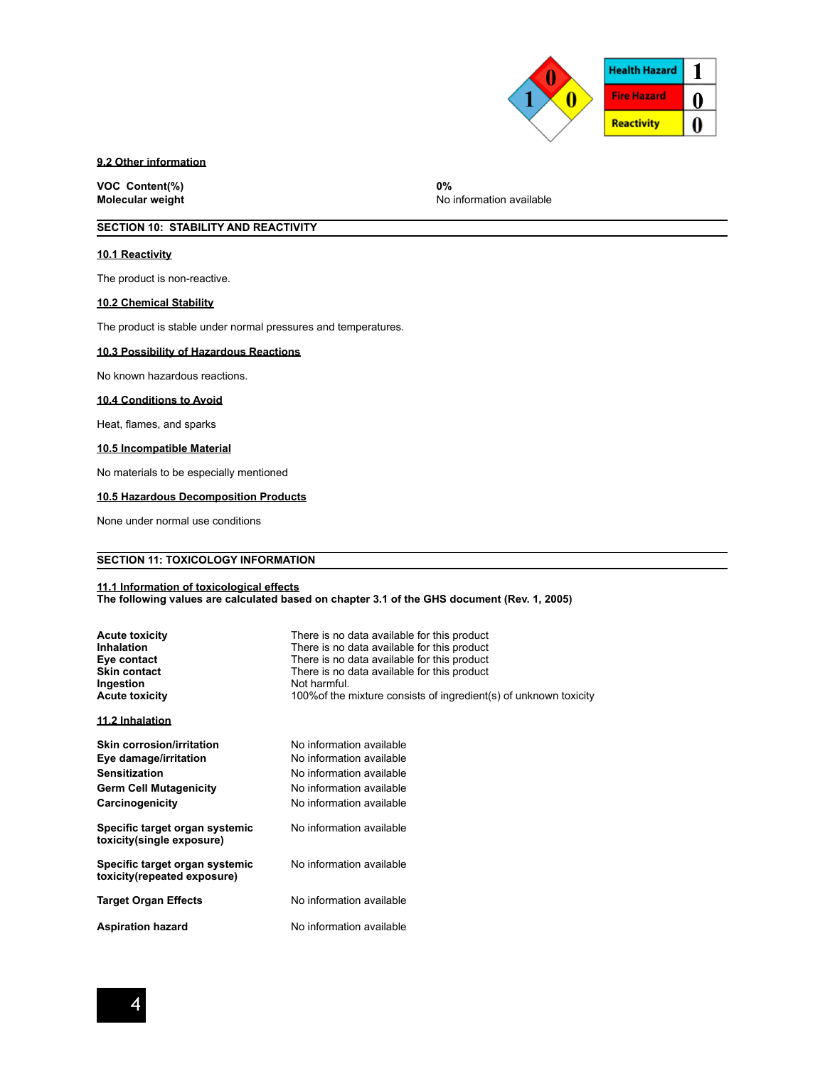

## **9.2 Other information**

**VOC Content(%) 0%** 

**No information available** 

## **SECTION 10: STABILITY AND REACTIVITY**

## **10.1 Reactivity**

The product is non-reactive.

## **10.2 Chemical Stability**

The product is stable under normal pressures and temperatures.

## **10.3 Possibility of Hazardous Reactions**

No known hazardous reactions.

## **10.4 Conditions to Avoid**

Heat, flames, and sparks

## **10.5 Incompatible Material**

No materials to be especially mentioned

## **10.5 Hazardous Decomposition Products**

None under normal use conditions

## **SECTION 11: TOXICOLOGY INFORMATION**

#### **11.1 Information of toxicological effects**

**The following values are calculated based on chapter 3.1 of the GHS document (Rev. 1, 2005)** 

| <b>Acute toxicity</b><br><b>Inhalation</b><br>Eye contact<br><b>Skin contact</b><br>Ingestion<br><b>Acute toxicity</b> | There is no data available for this product<br>There is no data available for this product<br>There is no data available for this product<br>There is no data available for this product<br>Not harmful<br>100% of the mixture consists of ingredient(s) of unknown toxicity |
|------------------------------------------------------------------------------------------------------------------------|------------------------------------------------------------------------------------------------------------------------------------------------------------------------------------------------------------------------------------------------------------------------------|
| 11.2 Inhalation                                                                                                        |                                                                                                                                                                                                                                                                              |
| Skin corrosion/irritation                                                                                              | No information available                                                                                                                                                                                                                                                     |
| Eye damage/irritation                                                                                                  | No information available                                                                                                                                                                                                                                                     |
| <b>Sensitization</b>                                                                                                   | No information available                                                                                                                                                                                                                                                     |
| <b>Germ Cell Mutagenicity</b>                                                                                          | No information available                                                                                                                                                                                                                                                     |
| Carcinogenicity                                                                                                        | No information available                                                                                                                                                                                                                                                     |
| Specific target organ systemic<br>toxicity(single exposure)                                                            | No information available                                                                                                                                                                                                                                                     |
| Specific target organ systemic<br>toxicity(repeated exposure)                                                          | No information available                                                                                                                                                                                                                                                     |
| <b>Target Organ Effects</b>                                                                                            | No information available                                                                                                                                                                                                                                                     |
| <b>Aspiration hazard</b>                                                                                               | No information available                                                                                                                                                                                                                                                     |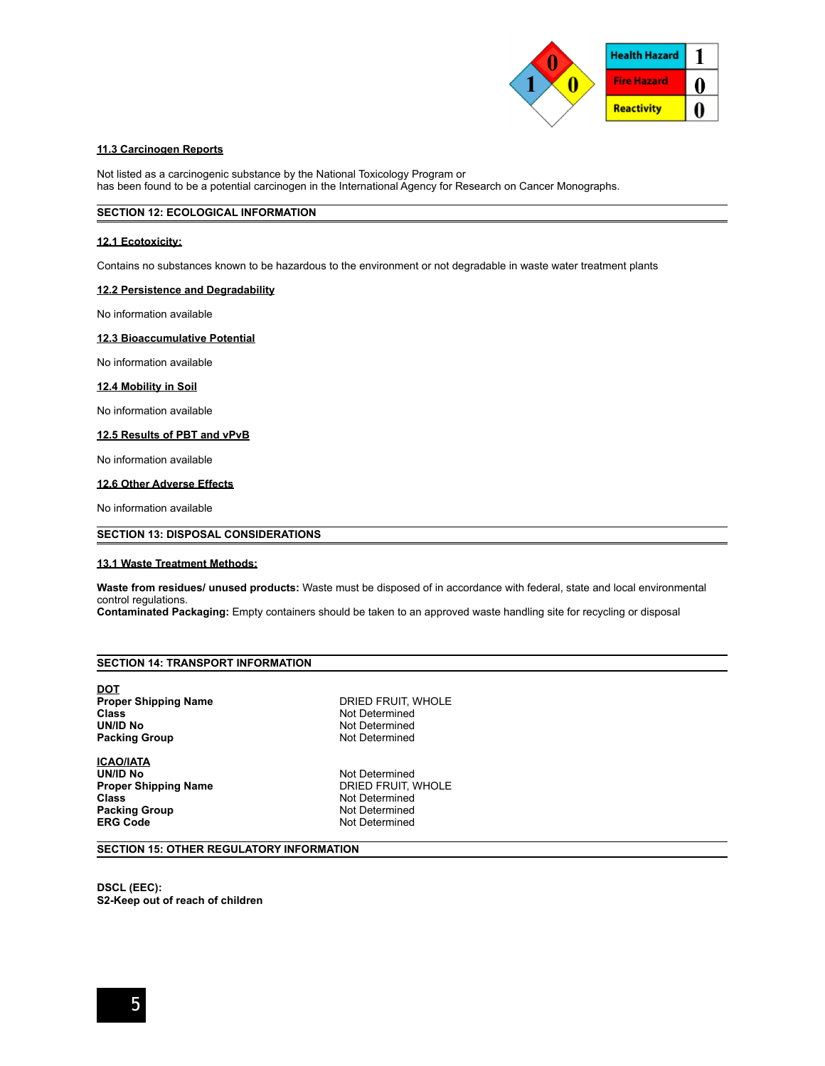

## **11.3 Carcinogen Reports**

Not listed as a carcinogenic substance by the National Toxicology Program or has been found to be a potential carcinogen in the International Agency for Research on Cancer Monographs.

## **SECTION 12: ECOLOGICAL INFORMATION**

## **12.1 Ecotoxicity:**

Contains no substances known to be hazardous to the environment or not degradable in waste water treatment plants

## **12.2 Persistence and Degradability**

No information available

## **12.3 Bioaccumulative Potential**

No information available

## **12.4 Mobility in Soil**

No information available

## **12.5 Results of PBT and vPvB**

No information available

## **12.6 Other Adverse Effects**

No information available

## **SECTION 13: DISPOSAL CONSIDERATIONS**

## **13.1 Waste Treatment Methods:**

**Waste from residues/ unused products:** Waste must be disposed of in accordance with federal, state and local environmental control regulations.

**Contaminated Packaging:** Empty containers should be taken to an approved waste handling site for recycling or disposal

## **SECTION 14: TRANSPORT INFORMATION**

**DOT Proper Shipping Name DRIED FRUIT, WHOLE Class** Not Determined<br> **Class** Not Determined<br>
Not Determined **Packing Group 19 Accord 19 Accord 19 Accord 19 Accord 19 Accord 19 Accord 19 Accord 19 Accord 19 Accord 19 Accord 19 Accord 19 Accord 19 Accord 19 Accord 19 Accord 19 Accord 19 Accord 19 Accord 19 Accord 19 Accord 19 Acco** 

**ICAO/IATA UN/ID No<br>
Proper Shipping Name** The South DRIED FRUIT, WHOLE **Proper Shipping Name Class Constanting Class Packing Group Packing Group Packing Class Packing Class Packing Class Packing Class Packing Class Packing Class Packing Class Packing Class Packing Class Packing Class P Packing Group ERG Code** Not Determined

**Not Determined** 

## **SECTION 15: OTHER REGULATORY INFORMATION**

**DSCL (EEC): S2-Keep out of reach of children**